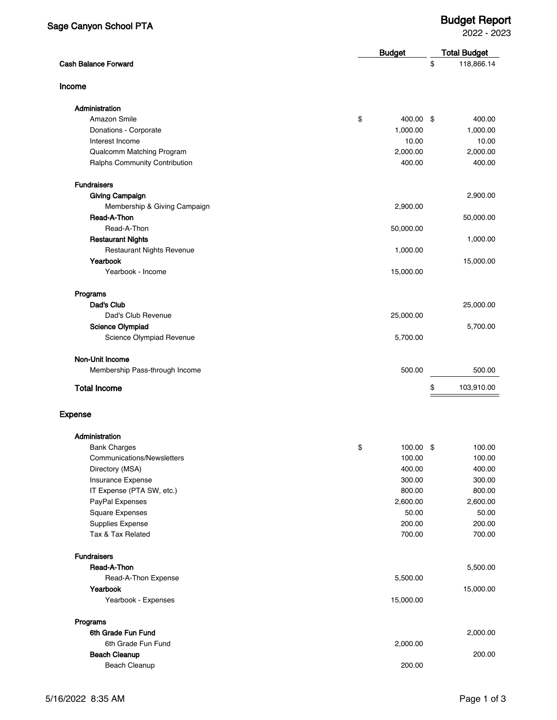2022 - 2023

|                                  |    | <b>Budget</b> |    | <b>Total Budget</b> |  |
|----------------------------------|----|---------------|----|---------------------|--|
| <b>Cash Balance Forward</b>      |    |               | \$ | 118,866.14          |  |
| Income                           |    |               |    |                     |  |
| Administration                   |    |               |    |                     |  |
| Amazon Smile                     | \$ | 400.00 \$     |    | 400.00              |  |
| Donations - Corporate            |    | 1,000.00      |    | 1,000.00            |  |
| Interest Income                  |    | 10.00         |    | 10.00               |  |
| Qualcomm Matching Program        |    | 2,000.00      |    | 2,000.00            |  |
| Ralphs Community Contribution    |    | 400.00        |    | 400.00              |  |
| <b>Fundraisers</b>               |    |               |    |                     |  |
| <b>Giving Campaign</b>           |    |               |    | 2,900.00            |  |
| Membership & Giving Campaign     |    | 2,900.00      |    |                     |  |
| Read-A-Thon                      |    |               |    | 50,000.00           |  |
| Read-A-Thon                      |    | 50,000.00     |    |                     |  |
| <b>Restaurant Nights</b>         |    |               |    | 1,000.00            |  |
| <b>Restaurant Nights Revenue</b> |    | 1,000.00      |    |                     |  |
| Yearbook                         |    |               |    | 15,000.00           |  |
| Yearbook - Income                |    | 15,000.00     |    |                     |  |
| Programs                         |    |               |    |                     |  |
| Dad's Club                       |    |               |    | 25,000.00           |  |
| Dad's Club Revenue               |    | 25,000.00     |    |                     |  |
| Science Olympiad                 |    |               |    | 5,700.00            |  |
| Science Olympiad Revenue         |    | 5,700.00      |    |                     |  |
| Non-Unit Income                  |    |               |    |                     |  |
| Membership Pass-through Income   |    | 500.00        |    | 500.00              |  |
| <b>Total Income</b>              |    |               | \$ | 103,910.00          |  |
| <b>Expense</b>                   |    |               |    |                     |  |
| Administration                   |    |               |    |                     |  |
| <b>Bank Charges</b>              | \$ | 100.00 \$     |    | 100.00              |  |
| Communications/Newsletters       |    | 100.00        |    | 100.00              |  |
| Directory (MSA)                  |    | 400.00        |    | 400.00              |  |
| Insurance Expense                |    | 300.00        |    | 300.00              |  |
| IT Expense (PTA SW, etc.)        |    | 800.00        |    | 800.00              |  |
| PayPal Expenses                  |    | 2,600.00      |    | 2,600.00            |  |
| <b>Square Expenses</b>           |    | 50.00         |    | 50.00               |  |
| Supplies Expense                 |    | 200.00        |    | 200.00              |  |
| Tax & Tax Related                |    | 700.00        |    | 700.00              |  |
| <b>Fundraisers</b>               |    |               |    |                     |  |
| Read-A-Thon                      |    |               |    | 5,500.00            |  |
| Read-A-Thon Expense              |    | 5,500.00      |    |                     |  |
| Yearbook<br>Yearbook - Expenses  |    | 15,000.00     |    | 15,000.00           |  |
|                                  |    |               |    |                     |  |
| Programs                         |    |               |    |                     |  |
| 6th Grade Fun Fund               |    |               |    | 2,000.00            |  |
| 6th Grade Fun Fund               |    | 2,000.00      |    |                     |  |
| <b>Beach Cleanup</b>             |    |               |    | 200.00              |  |
| Beach Cleanup                    |    | 200.00        |    |                     |  |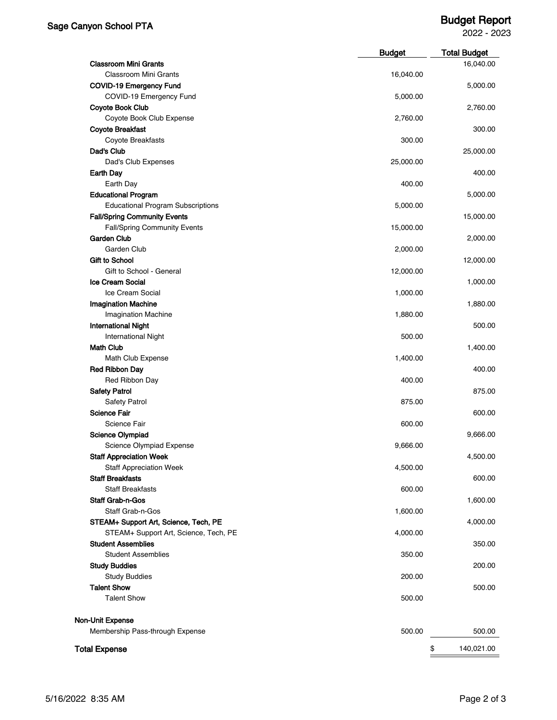## Sage Canyon School PTA Budget Report

2022 - 2023

|                                                           | <b>Budget</b> | <b>Total Budget</b> |
|-----------------------------------------------------------|---------------|---------------------|
| <b>Classroom Mini Grants</b>                              |               | 16,040.00           |
| <b>Classroom Mini Grants</b>                              | 16,040.00     |                     |
| <b>COVID-19 Emergency Fund</b>                            |               | 5,000.00            |
| COVID-19 Emergency Fund                                   | 5,000.00      |                     |
| <b>Coyote Book Club</b>                                   |               | 2,760.00            |
| Coyote Book Club Expense                                  | 2,760.00      |                     |
| <b>Coyote Breakfast</b>                                   |               | 300.00              |
| Coyote Breakfasts                                         | 300.00        |                     |
| Dad's Club                                                |               | 25,000.00           |
| Dad's Club Expenses                                       | 25,000.00     |                     |
| Earth Day                                                 |               | 400.00              |
| Earth Day                                                 | 400.00        |                     |
| <b>Educational Program</b>                                |               | 5,000.00            |
| <b>Educational Program Subscriptions</b>                  | 5,000.00      |                     |
| <b>Fall/Spring Community Events</b>                       |               | 15,000.00           |
| <b>Fall/Spring Community Events</b>                       | 15,000.00     |                     |
| <b>Garden Club</b>                                        |               | 2,000.00            |
| Garden Club                                               | 2,000.00      |                     |
| <b>Gift to School</b>                                     |               | 12,000.00           |
| Gift to School - General                                  | 12,000.00     |                     |
| <b>Ice Cream Social</b>                                   |               | 1,000.00            |
| Ice Cream Social                                          | 1,000.00      |                     |
| <b>Imagination Machine</b>                                |               | 1,880.00            |
| <b>Imagination Machine</b>                                | 1,880.00      |                     |
| <b>International Night</b>                                |               | 500.00              |
| <b>International Night</b>                                | 500.00        |                     |
| <b>Math Club</b>                                          |               | 1,400.00            |
| Math Club Expense                                         | 1,400.00      |                     |
| <b>Red Ribbon Day</b>                                     |               | 400.00              |
| Red Ribbon Day                                            | 400.00        |                     |
| <b>Safety Patrol</b>                                      |               | 875.00              |
| <b>Safety Patrol</b>                                      | 875.00        |                     |
| <b>Science Fair</b>                                       |               | 600.00              |
| Science Fair                                              | 600.00        |                     |
| <b>Science Olympiad</b>                                   |               | 9,666.00            |
| Science Olympiad Expense                                  |               |                     |
|                                                           | 9,666.00      |                     |
| <b>Staff Appreciation Week</b>                            |               | 4,500.00            |
| <b>Staff Appreciation Week</b><br><b>Staff Breakfasts</b> | 4,500.00      |                     |
| <b>Staff Breakfasts</b>                                   |               | 600.00              |
|                                                           | 600.00        |                     |
| Staff Grab-n-Gos                                          |               | 1,600.00            |
| Staff Grab-n-Gos                                          | 1,600.00      |                     |
| STEAM+ Support Art, Science, Tech, PE                     |               | 4,000.00            |
| STEAM+ Support Art, Science, Tech, PE                     | 4,000.00      |                     |
| <b>Student Assemblies</b>                                 |               | 350.00              |
| <b>Student Assemblies</b>                                 | 350.00        |                     |
| <b>Study Buddies</b>                                      |               | 200.00              |
| <b>Study Buddies</b>                                      | 200.00        |                     |
| <b>Talent Show</b>                                        |               | 500.00              |
| <b>Talent Show</b>                                        | 500.00        |                     |
| <b>Non-Unit Expense</b>                                   |               |                     |
| Membership Pass-through Expense                           | 500.00        | 500.00              |
| <b>Total Expense</b>                                      |               | \$<br>140,021.00    |